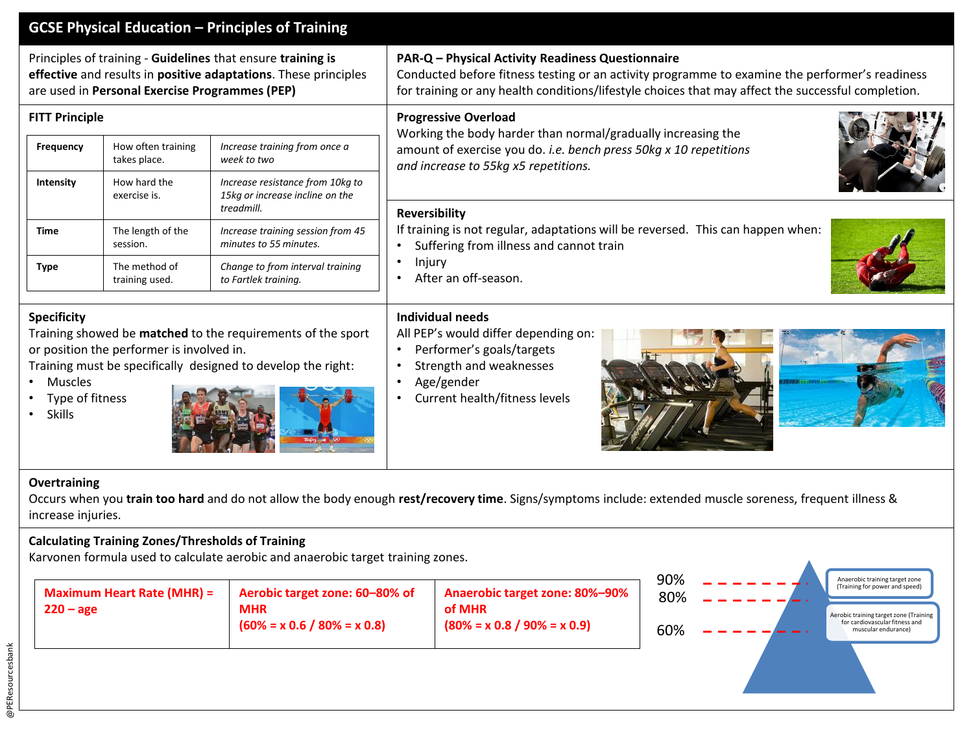# **GCSE Physical Education – Principles of Training**

Principles of training - **Guidelines** that ensure **training is effective** and results in **positive adaptations**. These principles are used in **Personal Exercise Programmes (PEP)**

| <b>Frequency</b> | How often training<br>takes place. | Increase training from once a<br>week to two                                      |
|------------------|------------------------------------|-----------------------------------------------------------------------------------|
| <b>Intensity</b> | How hard the<br>exercise is.       | Increase resistance from 10kg to<br>15kg or increase incline on the<br>treadmill. |
| Time             | The length of the<br>session.      | Increase training session from 45<br>minutes to 55 minutes.                       |
| Type             | The method of<br>training used.    | Change to from interval training<br>to Fartlek training.                          |

#### **Specificity**

Training showed be **matched** to the requirements of the sport or position the performer is involved in.

Training must be specifically designed to develop the right:

- Muscles
- Type of fitness
- Skills



# **PAR-Q – Physical Activity Readiness Questionnaire**

Conducted before fitness testing or an activity programme to examine the performer's readiness for training or any health conditions/lifestyle choices that may affect the successful completion.

# **FITT Principle Progressive Overload**

Working the body harder than normal/gradually increasing the amount of exercise you do. *i.e. bench press 50kg x 10 repetitions and increase to 55kg x5 repetitions.*

### **Reversibility**

If training is not regular, adaptations will be reversed. This can happen when:

- Suffering from illness and cannot train
- Injury
- After an off-season.

## **Individual needs**

All PEP's would differ depending on:

- Performer's goals/targets
- Strength and weaknesses
- Age/gender
- Current health/fitness levels





#### **Overtraining**

Occurs when you **train too hard** and do not allow the body enough **rest/recovery time**. Signs/symptoms include: extended muscle soreness, frequent illness & increase injuries.

## **Calculating Training Zones/Thresholds of Training**

Karvonen formula used to calculate aerobic and anaerobic target training zones.

| Maximum Heart Rate (MHR) =<br>$220 - age$ | Aerobic target zone: 60-80% of<br><b>MHR</b><br>$(60\% = x 0.6 / 80\% = x 0.8)$ | <b>Anaerobic target zone: 80%-90%</b><br>of MHR<br>$(80\% = x 0.8 / 90\% = x 0.9)$ |
|-------------------------------------------|---------------------------------------------------------------------------------|------------------------------------------------------------------------------------|
|-------------------------------------------|---------------------------------------------------------------------------------|------------------------------------------------------------------------------------|